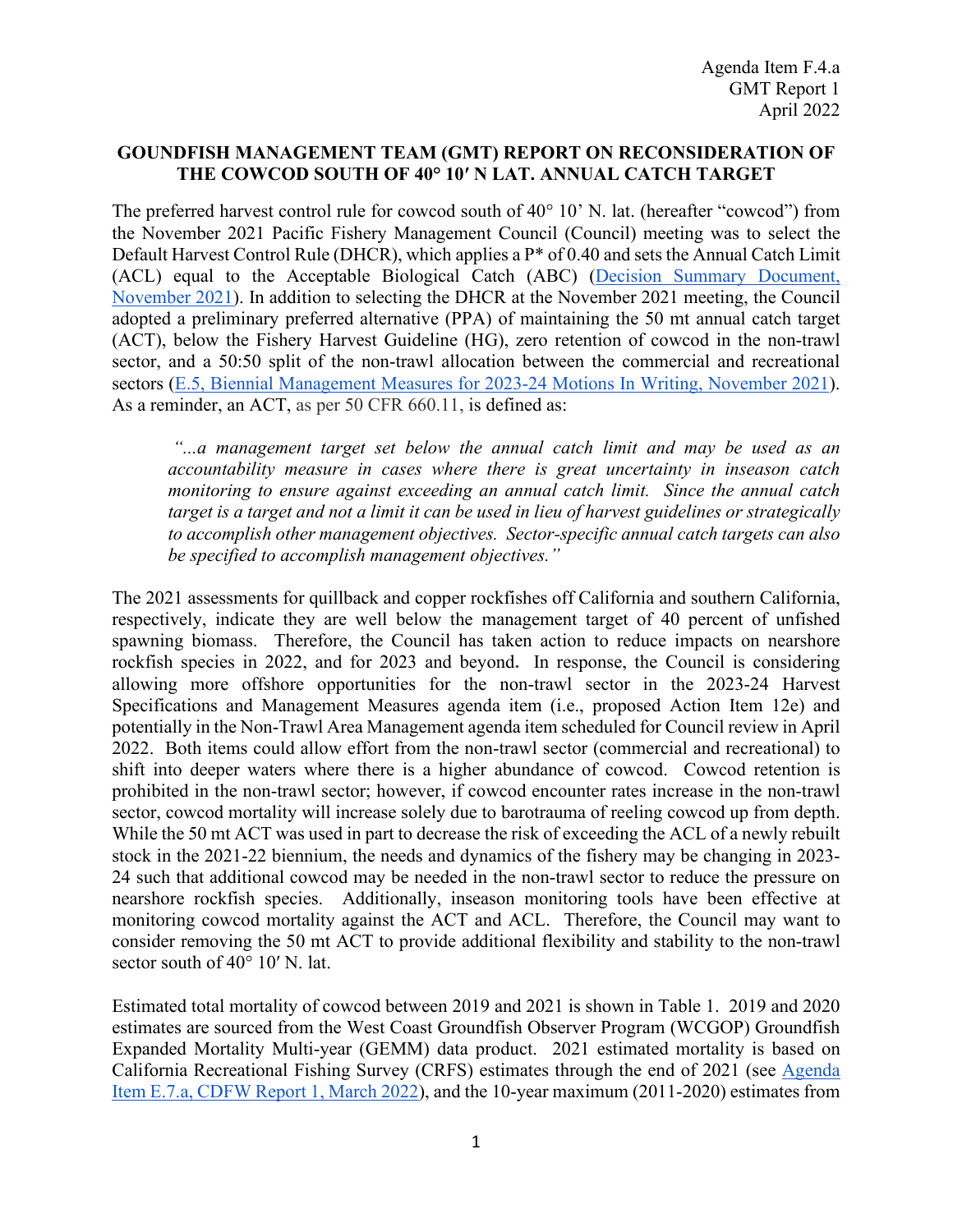## **GOUNDFISH MANAGEMENT TEAM (GMT) REPORT ON RECONSIDERATION OF THE COWCOD SOUTH OF 40° 10′ N LAT. ANNUAL CATCH TARGET**

The preferred harvest control rule for cowcod south of 40° 10' N. lat. (hereafter "cowcod") from the November 2021 Pacific Fishery Management Council (Council) meeting was to select the Default Harvest Control Rule (DHCR), which applies a P\* of 0.40 and sets the Annual Catch Limit (ACL) equal to the Acceptable Biological Catch (ABC) [\(Decision Summary Document,](https://www.pcouncil.org/november-2021-decision-summary-document/)  [November 2021\)](https://www.pcouncil.org/november-2021-decision-summary-document/). In addition to selecting the DHCR at the November 2021 meeting, the Council adopted a preliminary preferred alternative (PPA) of maintaining the 50 mt annual catch target (ACT), below the Fishery Harvest Guideline (HG), zero retention of cowcod in the non-trawl sector, and a 50:50 split of the non-trawl allocation between the commercial and recreational sectors (E.5, Biennial [Management Measures for 2023-24 Motions In Writing, November 2021\)](https://www.pcouncil.org/documents/2021/11/e-5-motion-in-writing-november-2021.pdf/). As a reminder, an ACT, as per 50 CFR 660.11, is defined as:

*"...a management target set below the annual catch limit and may be used as an accountability measure in cases where there is great uncertainty in inseason catch monitoring to ensure against exceeding an annual catch limit. Since the annual catch target is a target and not a limit it can be used in lieu of harvest guidelines or strategically to accomplish other management objectives. Sector-specific annual catch targets can also be specified to accomplish management objectives."*

The 2021 assessments for quillback and copper rockfishes off California and southern California, respectively, indicate they are well below the management target of 40 percent of unfished spawning biomass. Therefore, the Council has taken action to reduce impacts on nearshore rockfish species in 2022, and for 2023 and beyond. In response, the Council is considering allowing more offshore opportunities for the non-trawl sector in the 2023-24 Harvest Specifications and Management Measures agenda item (i.e., proposed Action Item 12e) and potentially in the Non-Trawl Area Management agenda item scheduled for Council review in April 2022. Both items could allow effort from the non-trawl sector (commercial and recreational) to shift into deeper waters where there is a higher abundance of cowcod. Cowcod retention is prohibited in the non-trawl sector; however, if cowcod encounter rates increase in the non-trawl sector, cowcod mortality will increase solely due to barotrauma of reeling cowcod up from depth. While the 50 mt ACT was used in part to decrease the risk of exceeding the ACL of a newly rebuilt stock in the 2021-22 biennium, the needs and dynamics of the fishery may be changing in 2023- 24 such that additional cowcod may be needed in the non-trawl sector to reduce the pressure on nearshore rockfish species. Additionally, inseason monitoring tools have been effective at monitoring cowcod mortality against the ACT and ACL. Therefore, the Council may want to consider removing the 50 mt ACT to provide additional flexibility and stability to the non-trawl sector south of 40° 10′ N. lat.

Estimated total mortality of cowcod between 2019 and 2021 is shown in [Table 1.](#page-1-0) 2019 and 2020 estimates are sourced from the West Coast Groundfish Observer Program (WCGOP) Groundfish Expanded Mortality Multi-year (GEMM) data product. 2021 estimated mortality is based on California Recreational Fishing Survey (CRFS) estimates through the end of 2021 (see [Agenda](https://www.pcouncil.org/documents/2022/03/e-7-a-supplemental-cdfw-report-1-2021-groundfish-harvest-in-california.pdf/)  [Item E.7.a, CDFW Report 1, March 2022\)](https://www.pcouncil.org/documents/2022/03/e-7-a-supplemental-cdfw-report-1-2021-groundfish-harvest-in-california.pdf/), and the 10-year maximum (2011-2020) estimates from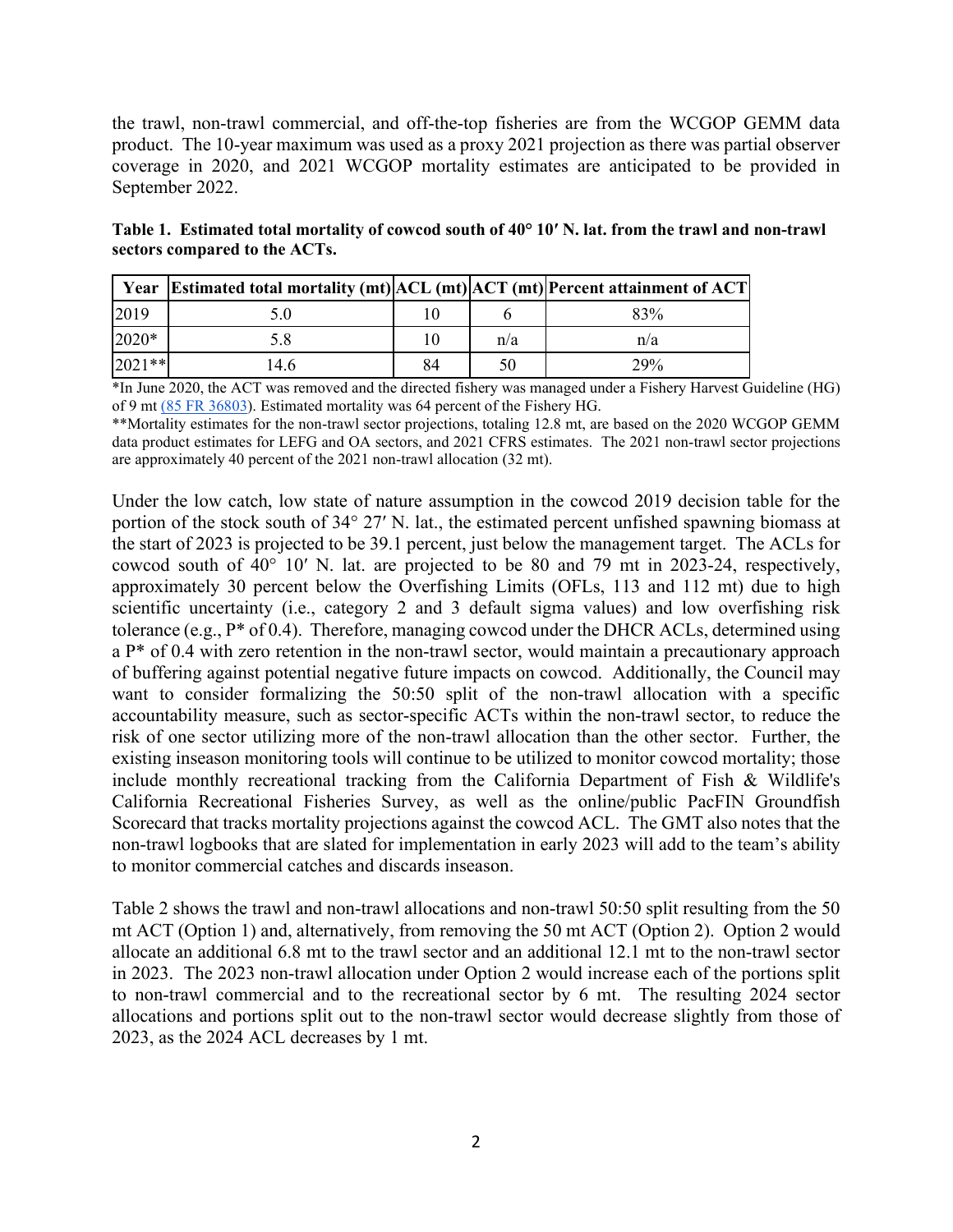the trawl, non-trawl commercial, and off-the-top fisheries are from the WCGOP GEMM data product. The 10-year maximum was used as a proxy 2021 projection as there was partial observer coverage in 2020, and 2021 WCGOP mortality estimates are anticipated to be provided in September 2022.

<span id="page-1-0"></span>**Table 1. Estimated total mortality of cowcod south of 40° 10′ N. lat. from the trawl and non-trawl sectors compared to the ACTs.**

|          | Year Estimated total mortality (mt) ACL (mt) ACT (mt) Percent attainment of ACT |    |     |     |
|----------|---------------------------------------------------------------------------------|----|-----|-----|
| 2019     |                                                                                 |    |     | 83% |
| 2020*    |                                                                                 |    | n/a | n/a |
| $2021**$ | 4.6                                                                             | 84 | 50  | 29% |

\*In June 2020, the ACT was removed and the directed fishery was managed under a Fishery Harvest Guideline (HG) of 9 m[t \(85 FR 36803\)](https://www.federalregister.gov/documents/2020/06/18/2020-12959/magnuson-stevens-act-provisions-fisheries-off-west-coast-states-pacific-coast-groundfish-fishery). Estimated mortality was 64 percent of the Fishery HG.

\*\*Mortality estimates for the non-trawl sector projections, totaling 12.8 mt, are based on the 2020 WCGOP GEMM data product estimates for LEFG and OA sectors, and 2021 CFRS estimates. The 2021 non-trawl sector projections are approximately 40 percent of the 2021 non-trawl allocation (32 mt).

Under the low catch, low state of nature assumption in the cowcod 2019 decision table for the portion of the stock south of 34° 27′ N. lat., the estimated percent unfished spawning biomass at the start of 2023 is projected to be 39.1 percent, just below the management target. The ACLs for cowcod south of 40° 10′ N. lat. are projected to be 80 and 79 mt in 2023-24, respectively, approximately 30 percent below the Overfishing Limits (OFLs, 113 and 112 mt) due to high scientific uncertainty (i.e., category 2 and 3 default sigma values) and low overfishing risk tolerance (e.g.,  $P^*$  of 0.4). Therefore, managing cowcod under the DHCR ACLs, determined using a P\* of 0.4 with zero retention in the non-trawl sector, would maintain a precautionary approach of buffering against potential negative future impacts on cowcod. Additionally, the Council may want to consider formalizing the 50:50 split of the non-trawl allocation with a specific accountability measure, such as sector-specific ACTs within the non-trawl sector, to reduce the risk of one sector utilizing more of the non-trawl allocation than the other sector. Further, the existing inseason monitoring tools will continue to be utilized to monitor cowcod mortality; those include monthly recreational tracking from the California Department of Fish & Wildlife's California Recreational Fisheries Survey, as well as the online/public PacFIN Groundfish Scorecard that tracks mortality projections against the cowcod ACL. The GMT also notes that the non-trawl logbooks that are slated for implementation in early 2023 will add to the team's ability to monitor commercial catches and discards inseason.

[Table 2](#page-2-0) shows the trawl and non-trawl allocations and non-trawl 50:50 split resulting from the 50 mt ACT (Option 1) and, alternatively, from removing the 50 mt ACT (Option 2). Option 2 would allocate an additional 6.8 mt to the trawl sector and an additional 12.1 mt to the non-trawl sector in 2023. The 2023 non-trawl allocation under Option 2 would increase each of the portions split to non-trawl commercial and to the recreational sector by 6 mt. The resulting 2024 sector allocations and portions split out to the non-trawl sector would decrease slightly from those of 2023, as the 2024 ACL decreases by 1 mt.